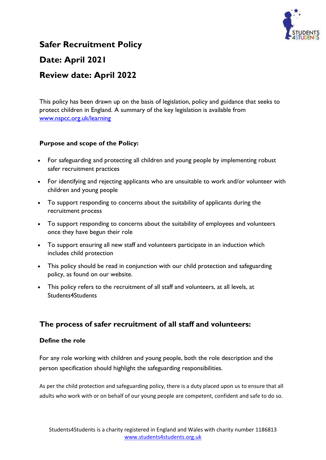

## **Safer Recruitment Policy**

# **Date: April 2021**

## **Review date: April 2022**

This policy has been drawn up on the basis of legislation, policy and guidance that seeks to protect children in England. A summary of the key legislation is available from [www.nspcc.org.uk/learning](http://www.nspcc.org.uk/learning)

## **Purpose and scope of the Policy:**

- For safeguarding and protecting all children and young people by implementing robust safer recruitment practices
- For identifying and rejecting applicants who are unsuitable to work and/or volunteer with children and young people
- To support responding to concerns about the suitability of applicants during the recruitment process
- To support responding to concerns about the suitability of employees and volunteers once they have begun their role
- To support ensuring all new staff and volunteers participate in an induction which includes child protection
- This policy should be read in conjunction with our child protection and safeguarding policy, as found on our website.
- This policy refers to the recruitment of all staff and volunteers, at all levels, at Students4Students

## **The process of safer recruitment of all staff and volunteers:**

#### **Define the role**

For any role working with children and young people, both the role description and the person specification should highlight the safeguarding responsibilities.

As per the child protection and safeguarding policy, there is a duty placed upon us to ensure that all adults who work with or on behalf of our young people are competent, confident and safe to do so.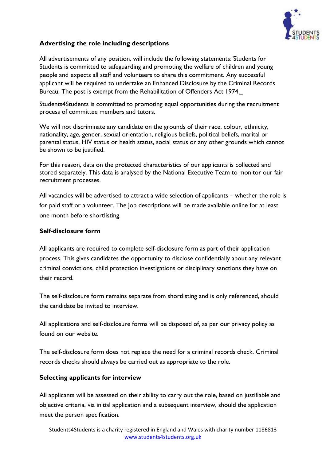

## **Advertising the role including descriptions**

All advertisements of any position, will include the following statements: Students for Students is committed to safeguarding and promoting the welfare of children and young people and expects all staff and volunteers to share this commitment. Any successful applicant will be required to undertake an Enhanced Disclosure by the Criminal Records Bureau. The post is exempt from the Rehabilitation of Offenders Act 1974.

Students4Students is committed to promoting equal opportunities during the recruitment process of committee members and tutors.

We will not discriminate any candidate on the grounds of their race, colour, ethnicity, nationality, age, gender, sexual orientation, religious beliefs, political beliefs, marital or parental status, HIV status or health status, social status or any other grounds which cannot be shown to be justified.

For this reason, data on the protected characteristics of our applicants is collected and stored separately. This data is analysed by the National Executive Team to monitor our fair recruitment processes.

All vacancies will be advertised to attract a wide selection of applicants – whether the role is for paid staff or a volunteer. The job descriptions will be made available online for at least one month before shortlisting.

#### **Self-disclosure form**

All applicants are required to complete self-disclosure form as part of their application process. This gives candidates the opportunity to disclose confidentially about any relevant criminal convictions, child protection investigations or disciplinary sanctions they have on their record.

The self-disclosure form remains separate from shortlisting and is only referenced, should the candidate be invited to interview.

All applications and self-disclosure forms will be disposed of, as per our privacy policy as found on our website.

The self-disclosure form does not replace the need for a criminal records check. Criminal records checks should always be carried out as appropriate to the role.

#### **Selecting applicants for interview**

All applicants will be assessed on their ability to carry out the role, based on justifiable and objective criteria, via initial application and a subsequent interview, should the application meet the person specification.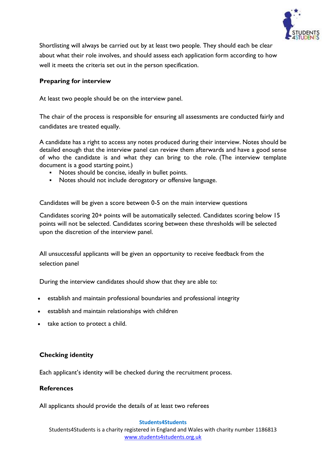

Shortlisting will always be carried out by at least two people. They should each be clear about what their role involves, and should assess each application form according to how well it meets the criteria set out in the person specification.

## **Preparing for interview**

At least two people should be on the interview panel.

The chair of the process is responsible for ensuring all assessments are conducted fairly and candidates are treated equally.

A candidate has a right to access any notes produced during their interview. Notes should be detailed enough that the interview panel can review them afterwards and have a good sense of who the candidate is and what they can bring to the role. (The interview template document is a good starting point.)

- Notes should be concise, ideally in bullet points.
- Notes should not include derogatory or offensive language.

Candidates will be given a score between 0-5 on the main interview questions

Candidates scoring 20+ points will be automatically selected. Candidates scoring below 15 points will not be selected. Candidates scoring between these thresholds will be selected upon the discretion of the interview panel.

All unsuccessful applicants will be given an opportunity to receive feedback from the selection panel

During the interview candidates should show that they are able to:

- establish and maintain professional boundaries and professional integrity
- establish and maintain relationships with children
- take action to protect a child.

#### **Checking identity**

Each applicant's identity will be checked during the recruitment process.

#### **References**

All applicants should provide the details of at least two referees

#### **Students4Students**

Students4Students is a charity registered in England and Wales with charity number 1186813 [www.students4students.org.uk](http://www.students4students.org.uk/)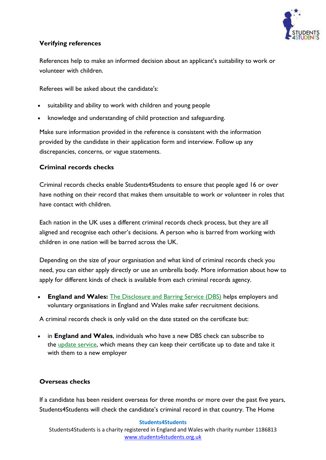

## **Verifying references**

References help to make an informed decision about an applicant's suitability to work or volunteer with children.

Referees will be asked about the candidate's:

- suitability and ability to work with children and young people
- knowledge and understanding of child protection and safeguarding.

Make sure information provided in the reference is consistent with the information provided by the candidate in their application form and interview. Follow up any discrepancies, concerns, or vague statements.

## **Criminal records checks**

Criminal records checks enable Students4Students to ensure that people aged 16 or over have nothing on their record that makes them unsuitable to work or volunteer in roles that have contact with children.

Each nation in the UK uses a different criminal records check process, but they are all aligned and recognise each other's decisions. A person who is barred from working with children in one nation will be barred across the UK.

Depending on the size of your organisation and what kind of criminal records check you need, you can either apply directly or use an umbrella body. More information about how to apply for different kinds of check is available from each criminal records agency.

• **England and Wales:** [The Disclosure and Barring Service \(DBS\)](https://www.gov.uk/government/organisations/disclosure-and-barring-service) helps employers and voluntary organisations in England and Wales make safer recruitment decisions.

A criminal records check is only valid on the date stated on the certificate but:

• in **England and Wales**, individuals who have a new DBS check can subscribe to the [update service,](https://www.gov.uk/dbs-update-service) which means they can keep their certificate up to date and take it with them to a new employer

## **Overseas checks**

If a candidate has been resident overseas for three months or more over the past five years, Students4Students will check the candidate's criminal record in that country. The Home

#### **Students4Students**

Students4Students is a charity registered in England and Wales with charity number 1186813 [www.students4students.org.uk](http://www.students4students.org.uk/)